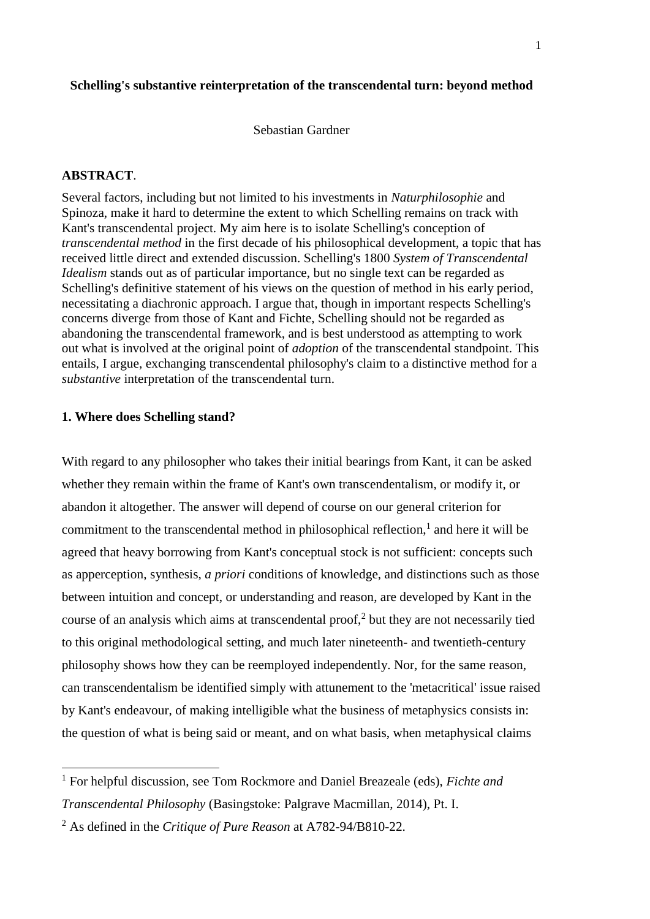### **Schelling's substantive reinterpretation of the transcendental turn: beyond method**

Sebastian Gardner

## **ABSTRACT**.

1

Several factors, including but not limited to his investments in *Naturphilosophie* and Spinoza, make it hard to determine the extent to which Schelling remains on track with Kant's transcendental project. My aim here is to isolate Schelling's conception of *transcendental method* in the first decade of his philosophical development, a topic that has received little direct and extended discussion. Schelling's 1800 *System of Transcendental Idealism* stands out as of particular importance, but no single text can be regarded as Schelling's definitive statement of his views on the question of method in his early period, necessitating a diachronic approach. I argue that, though in important respects Schelling's concerns diverge from those of Kant and Fichte, Schelling should not be regarded as abandoning the transcendental framework, and is best understood as attempting to work out what is involved at the original point of *adoption* of the transcendental standpoint. This entails, I argue, exchanging transcendental philosophy's claim to a distinctive method for a *substantive* interpretation of the transcendental turn.

### **1. Where does Schelling stand?**

With regard to any philosopher who takes their initial bearings from Kant, it can be asked whether they remain within the frame of Kant's own transcendentalism, or modify it, or abandon it altogether. The answer will depend of course on our general criterion for commitment to the transcendental method in philosophical reflection, $<sup>1</sup>$  and here it will be</sup> agreed that heavy borrowing from Kant's conceptual stock is not sufficient: concepts such as apperception, synthesis, *a priori* conditions of knowledge, and distinctions such as those between intuition and concept, or understanding and reason, are developed by Kant in the course of an analysis which aims at transcendental proof, 2 but they are not necessarily tied to this original methodological setting, and much later nineteenth- and twentieth-century philosophy shows how they can be reemployed independently. Nor, for the same reason, can transcendentalism be identified simply with attunement to the 'metacritical' issue raised by Kant's endeavour, of making intelligible what the business of metaphysics consists in: the question of what is being said or meant, and on what basis, when metaphysical claims

<sup>1</sup> For helpful discussion, see Tom Rockmore and Daniel Breazeale (eds), *Fichte and* 

*Transcendental Philosophy* (Basingstoke: Palgrave Macmillan, 2014), Pt. I.

<sup>2</sup> As defined in the *Critique of Pure Reason* at A782-94/B810-22.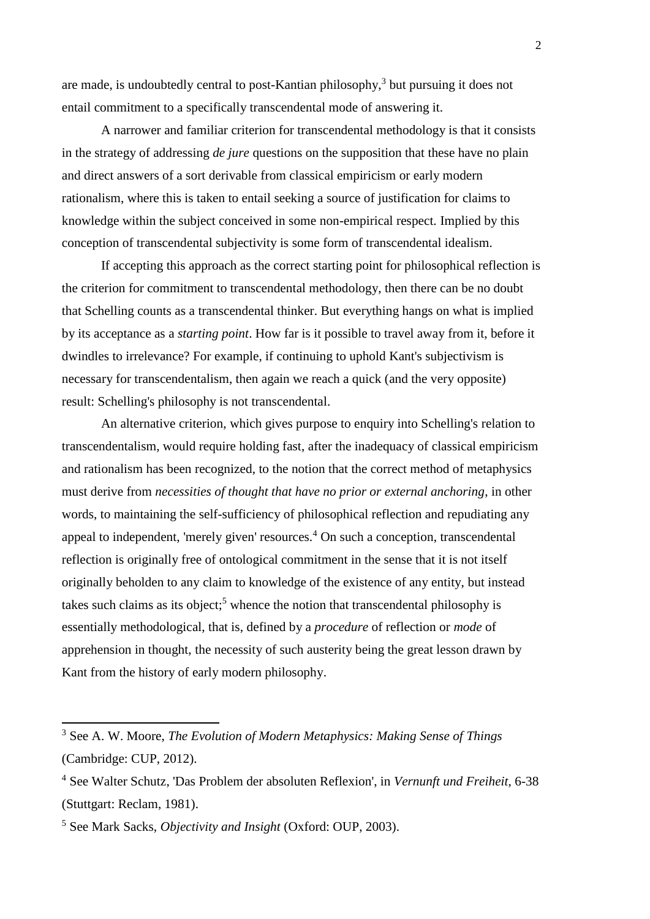are made, is undoubtedly central to post-Kantian philosophy, $3$  but pursuing it does not entail commitment to a specifically transcendental mode of answering it.

A narrower and familiar criterion for transcendental methodology is that it consists in the strategy of addressing *de jure* questions on the supposition that these have no plain and direct answers of a sort derivable from classical empiricism or early modern rationalism, where this is taken to entail seeking a source of justification for claims to knowledge within the subject conceived in some non-empirical respect. Implied by this conception of transcendental subjectivity is some form of transcendental idealism.

If accepting this approach as the correct starting point for philosophical reflection is the criterion for commitment to transcendental methodology, then there can be no doubt that Schelling counts as a transcendental thinker. But everything hangs on what is implied by its acceptance as a *starting point*. How far is it possible to travel away from it, before it dwindles to irrelevance? For example, if continuing to uphold Kant's subjectivism is necessary for transcendentalism, then again we reach a quick (and the very opposite) result: Schelling's philosophy is not transcendental.

An alternative criterion, which gives purpose to enquiry into Schelling's relation to transcendentalism, would require holding fast, after the inadequacy of classical empiricism and rationalism has been recognized, to the notion that the correct method of metaphysics must derive from *necessities of thought that have no prior or external anchoring*, in other words, to maintaining the self-sufficiency of philosophical reflection and repudiating any appeal to independent, 'merely given' resources.<sup>4</sup> On such a conception, transcendental reflection is originally free of ontological commitment in the sense that it is not itself originally beholden to any claim to knowledge of the existence of any entity, but instead takes such claims as its object; <sup>5</sup> whence the notion that transcendental philosophy is essentially methodological, that is, defined by a *procedure* of reflection or *mode* of apprehension in thought, the necessity of such austerity being the great lesson drawn by Kant from the history of early modern philosophy.

<sup>3</sup> See A. W. Moore, *The Evolution of Modern Metaphysics: Making Sense of Things* (Cambridge: CUP, 2012).

<sup>4</sup> See Walter Schutz, 'Das Problem der absoluten Reflexion', in *Vernunft und Freiheit*, 6-38 (Stuttgart: Reclam, 1981).

<sup>5</sup> See Mark Sacks, *Objectivity and Insight* (Oxford: OUP, 2003).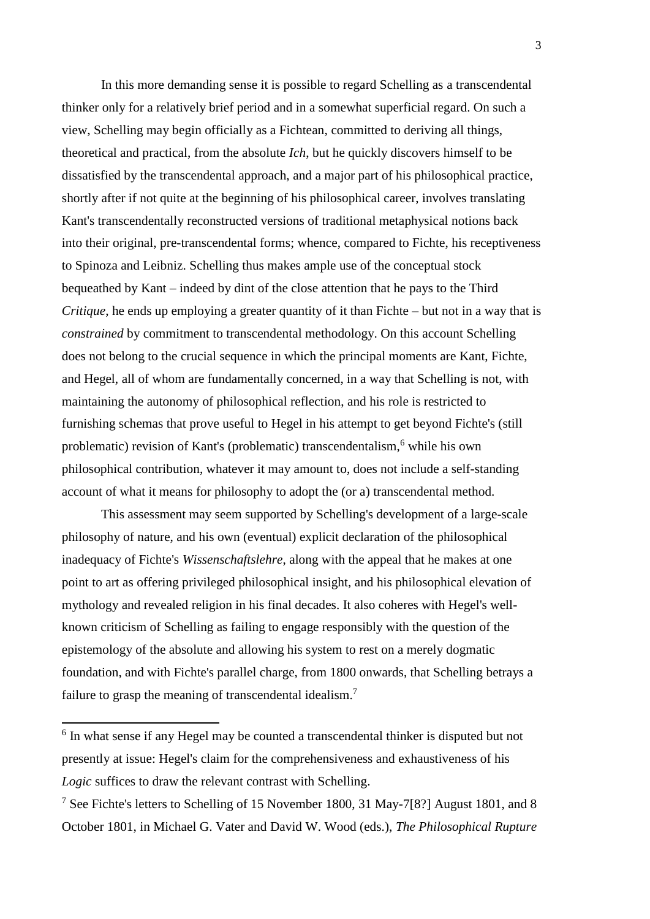In this more demanding sense it is possible to regard Schelling as a transcendental thinker only for a relatively brief period and in a somewhat superficial regard. On such a view, Schelling may begin officially as a Fichtean, committed to deriving all things, theoretical and practical, from the absolute *Ich*, but he quickly discovers himself to be dissatisfied by the transcendental approach, and a major part of his philosophical practice, shortly after if not quite at the beginning of his philosophical career, involves translating Kant's transcendentally reconstructed versions of traditional metaphysical notions back into their original, pre-transcendental forms; whence, compared to Fichte, his receptiveness to Spinoza and Leibniz. Schelling thus makes ample use of the conceptual stock bequeathed by Kant – indeed by dint of the close attention that he pays to the Third *Critique*, he ends up employing a greater quantity of it than Fichte – but not in a way that is *constrained* by commitment to transcendental methodology. On this account Schelling does not belong to the crucial sequence in which the principal moments are Kant, Fichte, and Hegel, all of whom are fundamentally concerned, in a way that Schelling is not, with maintaining the autonomy of philosophical reflection, and his role is restricted to furnishing schemas that prove useful to Hegel in his attempt to get beyond Fichte's (still problematic) revision of Kant's (problematic) transcendentalism,<sup>6</sup> while his own philosophical contribution, whatever it may amount to, does not include a self-standing account of what it means for philosophy to adopt the (or a) transcendental method.

This assessment may seem supported by Schelling's development of a large-scale philosophy of nature, and his own (eventual) explicit declaration of the philosophical inadequacy of Fichte's *Wissenschaftslehre*, along with the appeal that he makes at one point to art as offering privileged philosophical insight, and his philosophical elevation of mythology and revealed religion in his final decades. It also coheres with Hegel's wellknown criticism of Schelling as failing to engage responsibly with the question of the epistemology of the absolute and allowing his system to rest on a merely dogmatic foundation, and with Fichte's parallel charge, from 1800 onwards, that Schelling betrays a failure to grasp the meaning of transcendental idealism.<sup>7</sup>

<sup>&</sup>lt;sup>6</sup> In what sense if any Hegel may be counted a transcendental thinker is disputed but not presently at issue: Hegel's claim for the comprehensiveness and exhaustiveness of his *Logic* suffices to draw the relevant contrast with Schelling.

<sup>7</sup> See Fichte's letters to Schelling of 15 November 1800, 31 May-7[8?] August 1801, and 8 October 1801, in Michael G. Vater and David W. Wood (eds.), *The Philosophical Rupture*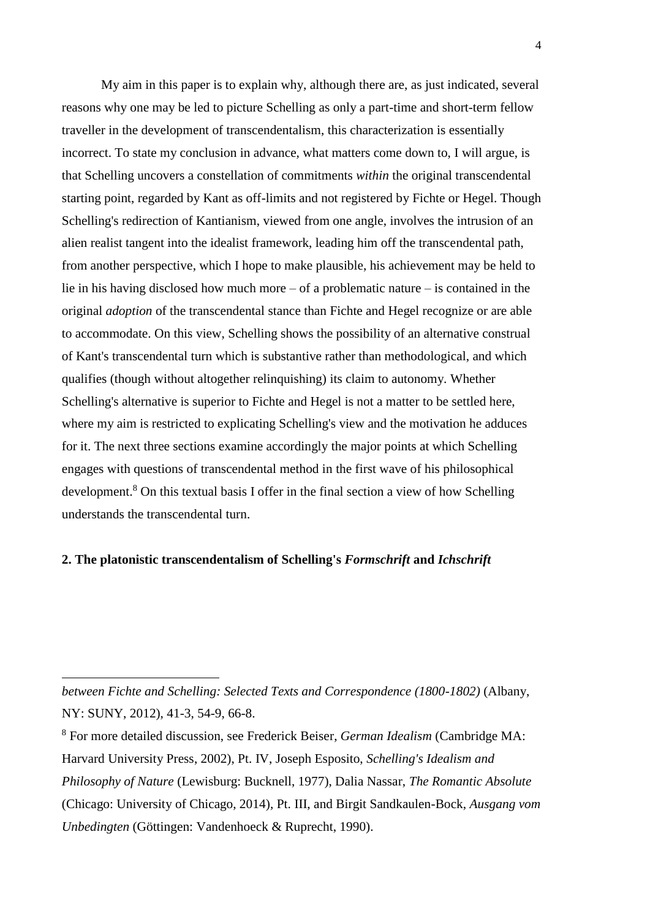My aim in this paper is to explain why, although there are, as just indicated, several reasons why one may be led to picture Schelling as only a part-time and short-term fellow traveller in the development of transcendentalism, this characterization is essentially incorrect. To state my conclusion in advance, what matters come down to, I will argue, is that Schelling uncovers a constellation of commitments *within* the original transcendental starting point, regarded by Kant as off-limits and not registered by Fichte or Hegel. Though Schelling's redirection of Kantianism, viewed from one angle, involves the intrusion of an alien realist tangent into the idealist framework, leading him off the transcendental path, from another perspective, which I hope to make plausible, his achievement may be held to lie in his having disclosed how much more – of a problematic nature – is contained in the original *adoption* of the transcendental stance than Fichte and Hegel recognize or are able to accommodate. On this view, Schelling shows the possibility of an alternative construal of Kant's transcendental turn which is substantive rather than methodological, and which qualifies (though without altogether relinquishing) its claim to autonomy. Whether Schelling's alternative is superior to Fichte and Hegel is not a matter to be settled here, where my aim is restricted to explicating Schelling's view and the motivation he adduces for it. The next three sections examine accordingly the major points at which Schelling engages with questions of transcendental method in the first wave of his philosophical development. <sup>8</sup> On this textual basis I offer in the final section a view of how Schelling understands the transcendental turn.

# **2. The platonistic transcendentalism of Schelling's** *Formschrift* **and** *Ichschrift*

*between Fichte and Schelling: Selected Texts and Correspondence (1800-1802)* (Albany, NY: SUNY, 2012), 41-3, 54-9, 66-8.

<sup>8</sup> For more detailed discussion, see Frederick Beiser, *German Idealism* (Cambridge MA: Harvard University Press, 2002), Pt. IV, Joseph Esposito, *Schelling's Idealism and Philosophy of Nature* (Lewisburg: Bucknell, 1977), Dalia Nassar, *The Romantic Absolute* (Chicago: University of Chicago, 2014), Pt. III, and Birgit Sandkaulen-Bock, *Ausgang vom Unbedingten* (Göttingen: Vandenhoeck & Ruprecht, 1990).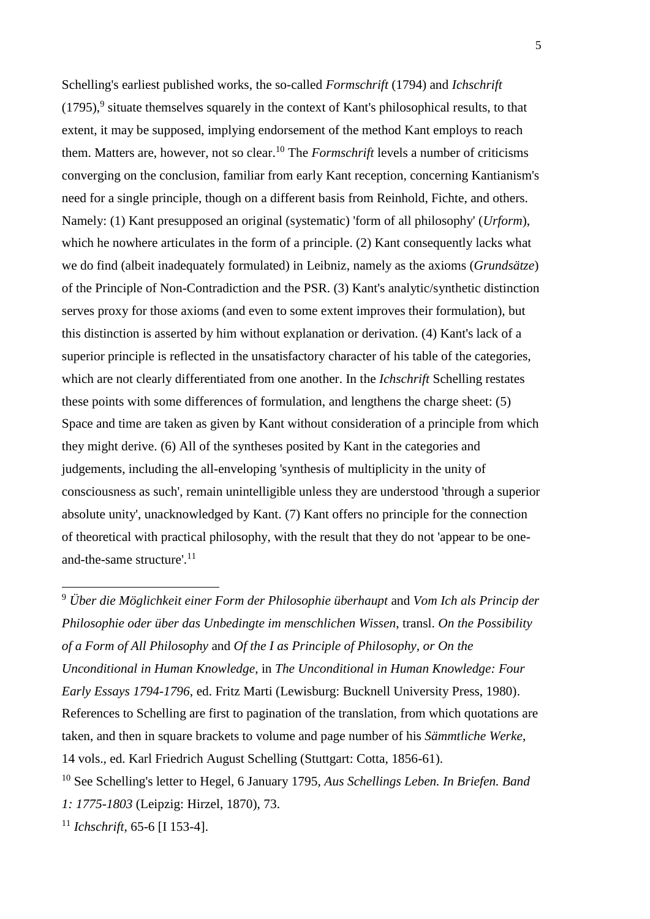Schelling's earliest published works, the so-called *Formschrift* (1794) and *Ichschrift*  $(1795)$ <sup>9</sup> situate themselves squarely in the context of Kant's philosophical results, to that extent, it may be supposed, implying endorsement of the method Kant employs to reach them. Matters are, however, not so clear.<sup>10</sup> The *Formschrift* levels a number of criticisms converging on the conclusion, familiar from early Kant reception, concerning Kantianism's need for a single principle, though on a different basis from Reinhold, Fichte, and others. Namely: (1) Kant presupposed an original (systematic) 'form of all philosophy' (*Urform*), which he nowhere articulates in the form of a principle. (2) Kant consequently lacks what we do find (albeit inadequately formulated) in Leibniz, namely as the axioms (*Grundsätze*) of the Principle of Non-Contradiction and the PSR. (3) Kant's analytic/synthetic distinction serves proxy for those axioms (and even to some extent improves their formulation), but this distinction is asserted by him without explanation or derivation. (4) Kant's lack of a superior principle is reflected in the unsatisfactory character of his table of the categories, which are not clearly differentiated from one another. In the *Ichschrift* Schelling restates these points with some differences of formulation, and lengthens the charge sheet: (5) Space and time are taken as given by Kant without consideration of a principle from which they might derive. (6) All of the syntheses posited by Kant in the categories and judgements, including the all-enveloping 'synthesis of multiplicity in the unity of consciousness as such', remain unintelligible unless they are understood 'through a superior absolute unity', unacknowledged by Kant. (7) Kant offers no principle for the connection of theoretical with practical philosophy, with the result that they do not 'appear to be oneand-the-same structure'.<sup>11</sup>

<sup>9</sup> *Über die Möglichkeit einer Form der Philosophie überhaupt* and *Vom Ich als Princip der Philosophie oder über das Unbedingte im menschlichen Wissen*, transl. *On the Possibility of a Form of All Philosophy* and *Of the I as Principle of Philosophy, or On the Unconditional in Human Knowledge*, in *The Unconditional in Human Knowledge: Four Early Essays 1794-1796*, ed. Fritz Marti (Lewisburg: Bucknell University Press, 1980). References to Schelling are first to pagination of the translation, from which quotations are taken, and then in square brackets to volume and page number of his *Sämmtliche Werke*, 14 vols., ed. Karl Friedrich August Schelling (Stuttgart: Cotta, 1856-61).

<sup>11</sup> *Ichschrift*, 65-6 [I 153-4].

<sup>10</sup> See Schelling's letter to Hegel, 6 January 1795, *Aus Schellings Leben. In Briefen. Band* 

*<sup>1: 1775-1803</sup>* (Leipzig: Hirzel, 1870), 73.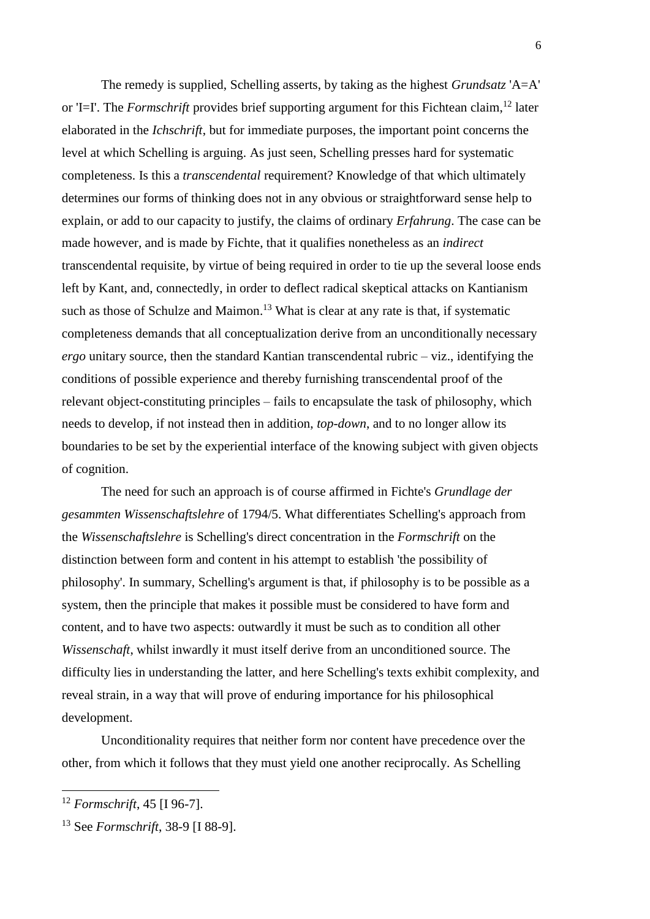The remedy is supplied, Schelling asserts, by taking as the highest *Grundsatz* 'A=A' or 'I=I'. The *Formschrift* provides brief supporting argument for this Fichtean claim,<sup>12</sup> later elaborated in the *Ichschrift*, but for immediate purposes, the important point concerns the level at which Schelling is arguing. As just seen, Schelling presses hard for systematic completeness. Is this a *transcendental* requirement? Knowledge of that which ultimately determines our forms of thinking does not in any obvious or straightforward sense help to explain, or add to our capacity to justify, the claims of ordinary *Erfahrung*. The case can be made however, and is made by Fichte, that it qualifies nonetheless as an *indirect* transcendental requisite, by virtue of being required in order to tie up the several loose ends left by Kant, and, connectedly, in order to deflect radical skeptical attacks on Kantianism such as those of Schulze and Maimon.<sup>13</sup> What is clear at any rate is that, if systematic completeness demands that all conceptualization derive from an unconditionally necessary *ergo* unitary source, then the standard Kantian transcendental rubric – viz., identifying the conditions of possible experience and thereby furnishing transcendental proof of the relevant object-constituting principles – fails to encapsulate the task of philosophy, which needs to develop, if not instead then in addition, *top-down*, and to no longer allow its boundaries to be set by the experiential interface of the knowing subject with given objects of cognition.

The need for such an approach is of course affirmed in Fichte's *Grundlage der gesammten Wissenschaftslehre* of 1794/5. What differentiates Schelling's approach from the *Wissenschaftslehre* is Schelling's direct concentration in the *Formschrift* on the distinction between form and content in his attempt to establish 'the possibility of philosophy'. In summary, Schelling's argument is that, if philosophy is to be possible as a system, then the principle that makes it possible must be considered to have form and content, and to have two aspects: outwardly it must be such as to condition all other *Wissenschaft*, whilst inwardly it must itself derive from an unconditioned source. The difficulty lies in understanding the latter, and here Schelling's texts exhibit complexity, and reveal strain, in a way that will prove of enduring importance for his philosophical development.

Unconditionality requires that neither form nor content have precedence over the other, from which it follows that they must yield one another reciprocally. As Schelling

<sup>12</sup> *Formschrift*, 45 [I 96-7].

<sup>13</sup> See *Formschrift*, 38-9 [I 88-9].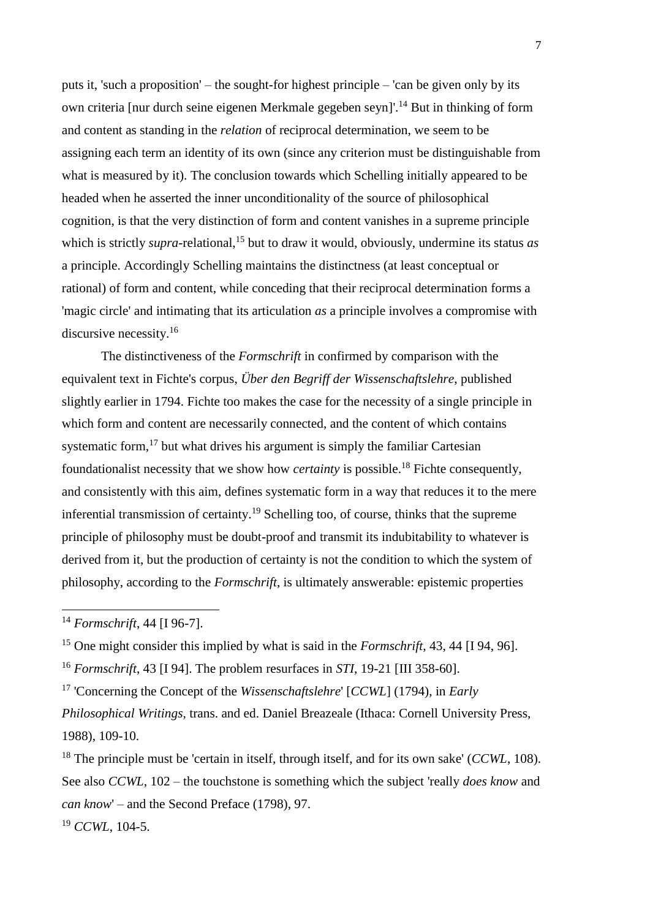puts it, 'such a proposition' – the sought-for highest principle – 'can be given only by its own criteria [nur durch seine eigenen Merkmale gegeben seyn]'.<sup>14</sup> But in thinking of form and content as standing in the *relation* of reciprocal determination, we seem to be assigning each term an identity of its own (since any criterion must be distinguishable from what is measured by it). The conclusion towards which Schelling initially appeared to be headed when he asserted the inner unconditionality of the source of philosophical cognition, is that the very distinction of form and content vanishes in a supreme principle which is strictly *supra*-relational,<sup>15</sup> but to draw it would, obviously, undermine its status *as* a principle. Accordingly Schelling maintains the distinctness (at least conceptual or rational) of form and content, while conceding that their reciprocal determination forms a 'magic circle' and intimating that its articulation *as* a principle involves a compromise with discursive necessity.<sup>16</sup>

The distinctiveness of the *Formschrift* in confirmed by comparison with the equivalent text in Fichte's corpus, *Über den Begriff der Wissenschaftslehre*, published slightly earlier in 1794. Fichte too makes the case for the necessity of a single principle in which form and content are necessarily connected, and the content of which contains systematic form, $17$  but what drives his argument is simply the familiar Cartesian foundationalist necessity that we show how *certainty* is possible.<sup>18</sup> Fichte consequently, and consistently with this aim, defines systematic form in a way that reduces it to the mere inferential transmission of certainty.<sup>19</sup> Schelling too, of course, thinks that the supreme principle of philosophy must be doubt-proof and transmit its indubitability to whatever is derived from it, but the production of certainty is not the condition to which the system of philosophy, according to the *Formschrift*, is ultimately answerable: epistemic properties

<sup>14</sup> *Formschrift*, 44 [I 96-7].

<sup>15</sup> One might consider this implied by what is said in the *Formschrift*, 43, 44 [I 94, 96].

<sup>16</sup> *Formschrift*, 43 [I 94]. The problem resurfaces in *STI*, 19-21 [III 358-60].

<sup>17</sup> 'Concerning the Concept of the *Wissenschaftslehre*' [*CCWL*] (1794), in *Early Philosophical Writings*, trans. and ed. Daniel Breazeale (Ithaca: Cornell University Press, 1988), 109-10.

<sup>18</sup> The principle must be 'certain in itself, through itself, and for its own sake' (*CCWL*, 108). See also *CCWL*, 102 – the touchstone is something which the subject 'really *does know* and *can know*' – and the Second Preface (1798), 97.

<sup>19</sup> *CCWL*, 104-5.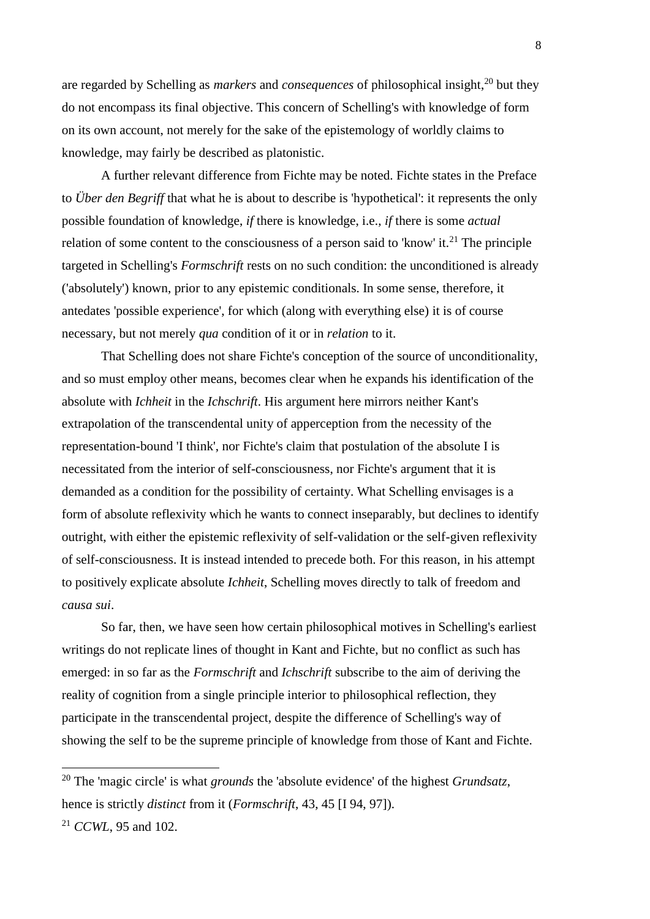are regarded by Schelling as *markers* and *consequences* of philosophical insight, <sup>20</sup> but they do not encompass its final objective. This concern of Schelling's with knowledge of form on its own account, not merely for the sake of the epistemology of worldly claims to knowledge, may fairly be described as platonistic.

A further relevant difference from Fichte may be noted. Fichte states in the Preface to *Über den Begriff* that what he is about to describe is 'hypothetical': it represents the only possible foundation of knowledge, *if* there is knowledge, i.e., *if* there is some *actual* relation of some content to the consciousness of a person said to 'know' it.<sup>21</sup> The principle targeted in Schelling's *Formschrift* rests on no such condition: the unconditioned is already ('absolutely') known, prior to any epistemic conditionals. In some sense, therefore, it antedates 'possible experience', for which (along with everything else) it is of course necessary, but not merely *qua* condition of it or in *relation* to it.

That Schelling does not share Fichte's conception of the source of unconditionality, and so must employ other means, becomes clear when he expands his identification of the absolute with *Ichheit* in the *Ichschrift*. His argument here mirrors neither Kant's extrapolation of the transcendental unity of apperception from the necessity of the representation-bound 'I think', nor Fichte's claim that postulation of the absolute I is necessitated from the interior of self-consciousness, nor Fichte's argument that it is demanded as a condition for the possibility of certainty. What Schelling envisages is a form of absolute reflexivity which he wants to connect inseparably, but declines to identify outright, with either the epistemic reflexivity of self-validation or the self-given reflexivity of self-consciousness. It is instead intended to precede both. For this reason, in his attempt to positively explicate absolute *Ichheit*, Schelling moves directly to talk of freedom and *causa sui*.

So far, then, we have seen how certain philosophical motives in Schelling's earliest writings do not replicate lines of thought in Kant and Fichte, but no conflict as such has emerged: in so far as the *Formschrift* and *Ichschrift* subscribe to the aim of deriving the reality of cognition from a single principle interior to philosophical reflection, they participate in the transcendental project, despite the difference of Schelling's way of showing the self to be the supreme principle of knowledge from those of Kant and Fichte.

<sup>20</sup> The 'magic circle' is what *grounds* the 'absolute evidence' of the highest *Grundsatz*, hence is strictly *distinct* from it (*Formschrift*, 43, 45 [I 94, 97]).

<sup>21</sup> *CCWL*, 95 and 102.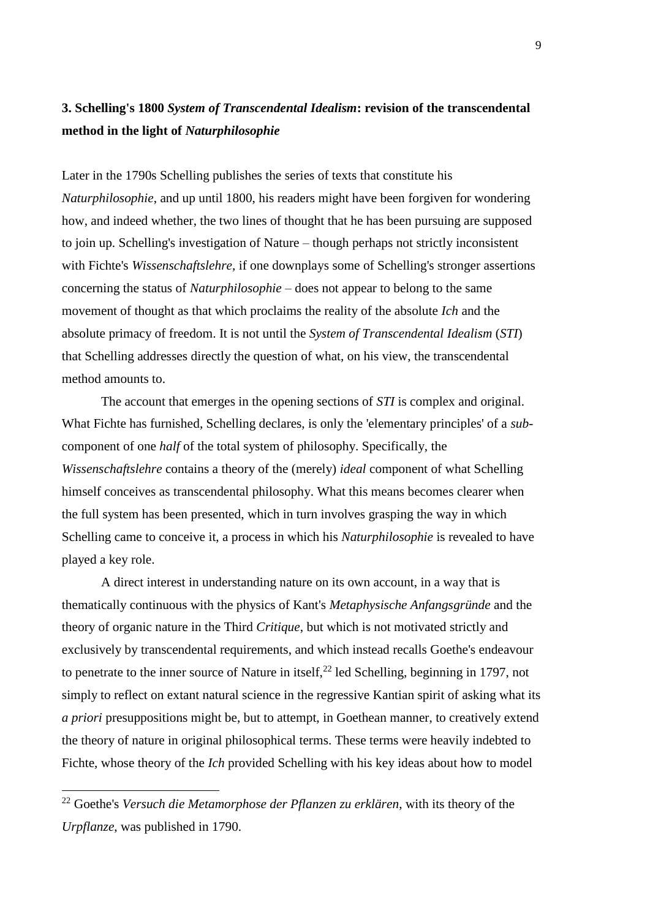# **3. Schelling's 1800** *System of Transcendental Idealism***: revision of the transcendental method in the light of** *Naturphilosophie*

Later in the 1790s Schelling publishes the series of texts that constitute his *Naturphilosophie*, and up until 1800, his readers might have been forgiven for wondering how, and indeed whether, the two lines of thought that he has been pursuing are supposed to join up. Schelling's investigation of Nature – though perhaps not strictly inconsistent with Fichte's *Wissenschaftslehre*, if one downplays some of Schelling's stronger assertions concerning the status of *Naturphilosophie* – does not appear to belong to the same movement of thought as that which proclaims the reality of the absolute *Ich* and the absolute primacy of freedom. It is not until the *System of Transcendental Idealism* (*STI*) that Schelling addresses directly the question of what, on his view, the transcendental method amounts to.

The account that emerges in the opening sections of *STI* is complex and original. What Fichte has furnished, Schelling declares, is only the 'elementary principles' of a *sub*component of one *half* of the total system of philosophy. Specifically, the *Wissenschaftslehre* contains a theory of the (merely) *ideal* component of what Schelling himself conceives as transcendental philosophy. What this means becomes clearer when the full system has been presented, which in turn involves grasping the way in which Schelling came to conceive it, a process in which his *Naturphilosophie* is revealed to have played a key role.

A direct interest in understanding nature on its own account, in a way that is thematically continuous with the physics of Kant's *Metaphysische Anfangsgründe* and the theory of organic nature in the Third *Critique*, but which is not motivated strictly and exclusively by transcendental requirements, and which instead recalls Goethe's endeavour to penetrate to the inner source of Nature in itself,  $^{22}$  led Schelling, beginning in 1797, not simply to reflect on extant natural science in the regressive Kantian spirit of asking what its *a priori* presuppositions might be, but to attempt, in Goethean manner, to creatively extend the theory of nature in original philosophical terms. These terms were heavily indebted to Fichte, whose theory of the *Ich* provided Schelling with his key ideas about how to model

<sup>22</sup> Goethe's *Versuch die Metamorphose der Pflanzen zu erklären*, with its theory of the *Urpflanze*, was published in 1790.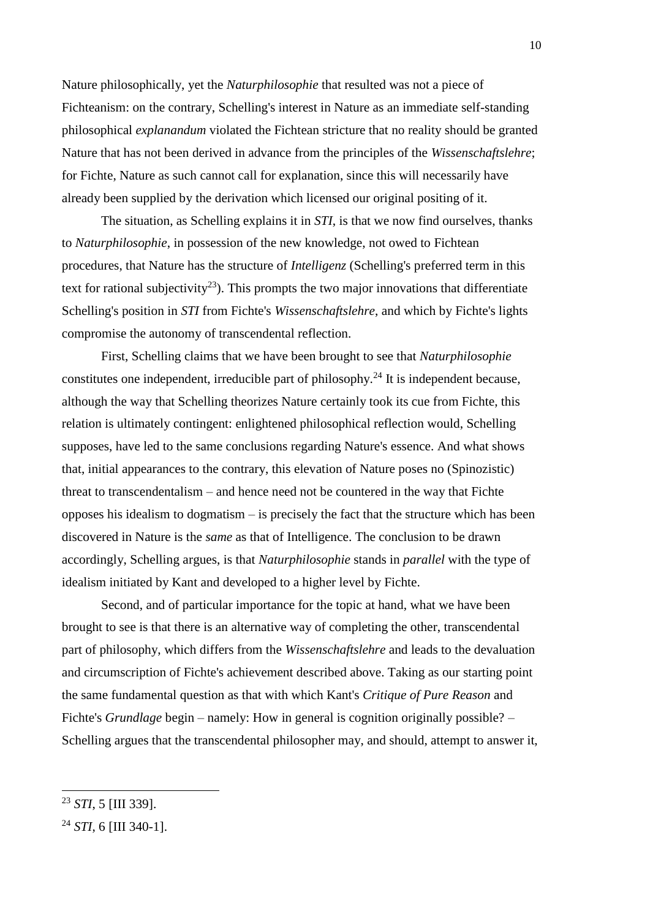Nature philosophically, yet the *Naturphilosophie* that resulted was not a piece of Fichteanism: on the contrary, Schelling's interest in Nature as an immediate self-standing philosophical *explanandum* violated the Fichtean stricture that no reality should be granted Nature that has not been derived in advance from the principles of the *Wissenschaftslehre*; for Fichte, Nature as such cannot call for explanation, since this will necessarily have already been supplied by the derivation which licensed our original positing of it.

The situation, as Schelling explains it in *STI*, is that we now find ourselves, thanks to *Naturphilosophie*, in possession of the new knowledge, not owed to Fichtean procedures, that Nature has the structure of *Intelligenz* (Schelling's preferred term in this text for rational subjectivity<sup>23</sup>). This prompts the two major innovations that differentiate Schelling's position in *STI* from Fichte's *Wissenschaftslehre*, and which by Fichte's lights compromise the autonomy of transcendental reflection.

First, Schelling claims that we have been brought to see that *Naturphilosophie* constitutes one independent, irreducible part of philosophy.<sup>24</sup> It is independent because, although the way that Schelling theorizes Nature certainly took its cue from Fichte, this relation is ultimately contingent: enlightened philosophical reflection would, Schelling supposes, have led to the same conclusions regarding Nature's essence. And what shows that, initial appearances to the contrary, this elevation of Nature poses no (Spinozistic) threat to transcendentalism – and hence need not be countered in the way that Fichte opposes his idealism to dogmatism – is precisely the fact that the structure which has been discovered in Nature is the *same* as that of Intelligence. The conclusion to be drawn accordingly, Schelling argues, is that *Naturphilosophie* stands in *parallel* with the type of idealism initiated by Kant and developed to a higher level by Fichte.

Second, and of particular importance for the topic at hand, what we have been brought to see is that there is an alternative way of completing the other, transcendental part of philosophy, which differs from the *Wissenschaftslehre* and leads to the devaluation and circumscription of Fichte's achievement described above. Taking as our starting point the same fundamental question as that with which Kant's *Critique of Pure Reason* and Fichte's *Grundlage* begin – namely: How in general is cognition originally possible? – Schelling argues that the transcendental philosopher may, and should, attempt to answer it,

<sup>23</sup> *STI*, 5 [III 339].

<sup>&</sup>lt;sup>24</sup> *STI*, 6 [III 340-1].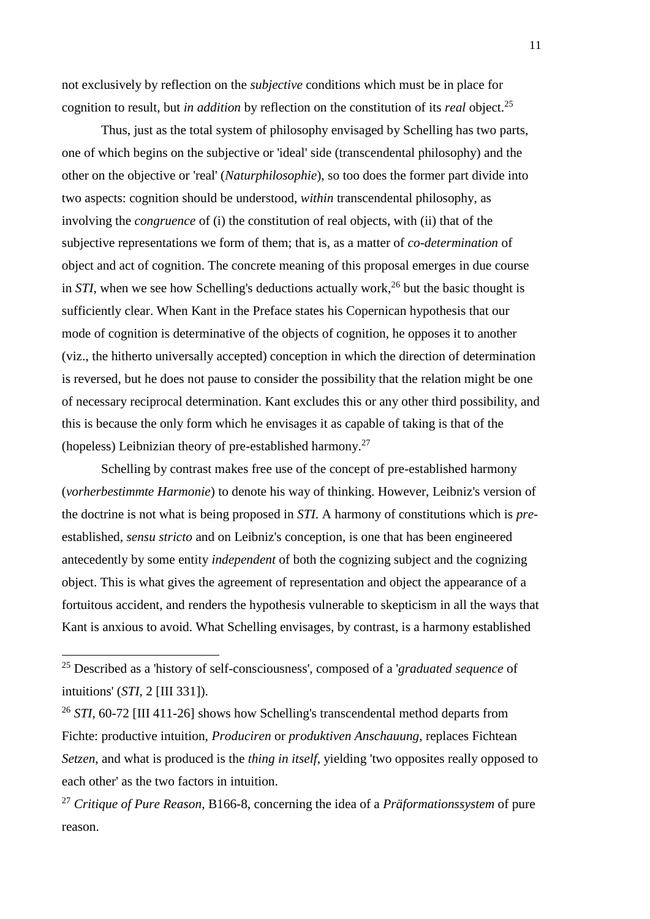not exclusively by reflection on the *subjective* conditions which must be in place for cognition to result, but *in addition* by reflection on the constitution of its *real* object.<sup>25</sup>

Thus, just as the total system of philosophy envisaged by Schelling has two parts, one of which begins on the subjective or 'ideal' side (transcendental philosophy) and the other on the objective or 'real' (*Naturphilosophie*), so too does the former part divide into two aspects: cognition should be understood, *within* transcendental philosophy, as involving the *congruence* of (i) the constitution of real objects, with (ii) that of the subjective representations we form of them; that is, as a matter of *co-determination* of object and act of cognition. The concrete meaning of this proposal emerges in due course in *STI*, when we see how Schelling's deductions actually work,<sup>26</sup> but the basic thought is sufficiently clear. When Kant in the Preface states his Copernican hypothesis that our mode of cognition is determinative of the objects of cognition, he opposes it to another (viz., the hitherto universally accepted) conception in which the direction of determination is reversed, but he does not pause to consider the possibility that the relation might be one of necessary reciprocal determination. Kant excludes this or any other third possibility, and this is because the only form which he envisages it as capable of taking is that of the (hopeless) Leibnizian theory of pre-established harmony.<sup>27</sup>

Schelling by contrast makes free use of the concept of pre-established harmony (*vorherbestimmte Harmonie*) to denote his way of thinking. However, Leibniz's version of the doctrine is not what is being proposed in *STI*. A harmony of constitutions which is *pre*established, *sensu stricto* and on Leibniz's conception, is one that has been engineered antecedently by some entity *independent* of both the cognizing subject and the cognizing object. This is what gives the agreement of representation and object the appearance of a fortuitous accident, and renders the hypothesis vulnerable to skepticism in all the ways that Kant is anxious to avoid. What Schelling envisages, by contrast, is a harmony established

<sup>25</sup> Described as a 'history of self-consciousness', composed of a '*graduated sequence* of intuitions' (*STI*, 2 [III 331]).

<sup>&</sup>lt;sup>26</sup> *STI*, 60-72 [III 411-26] shows how Schelling's transcendental method departs from Fichte: productive intuition, *Produciren* or *produktiven Anschauung*, replaces Fichtean *Setzen*, and what is produced is the *thing in itself*, yielding 'two opposites really opposed to each other' as the two factors in intuition.

<sup>27</sup> *Critique of Pure Reason*, B166-8, concerning the idea of a *Präformationssystem* of pure reason.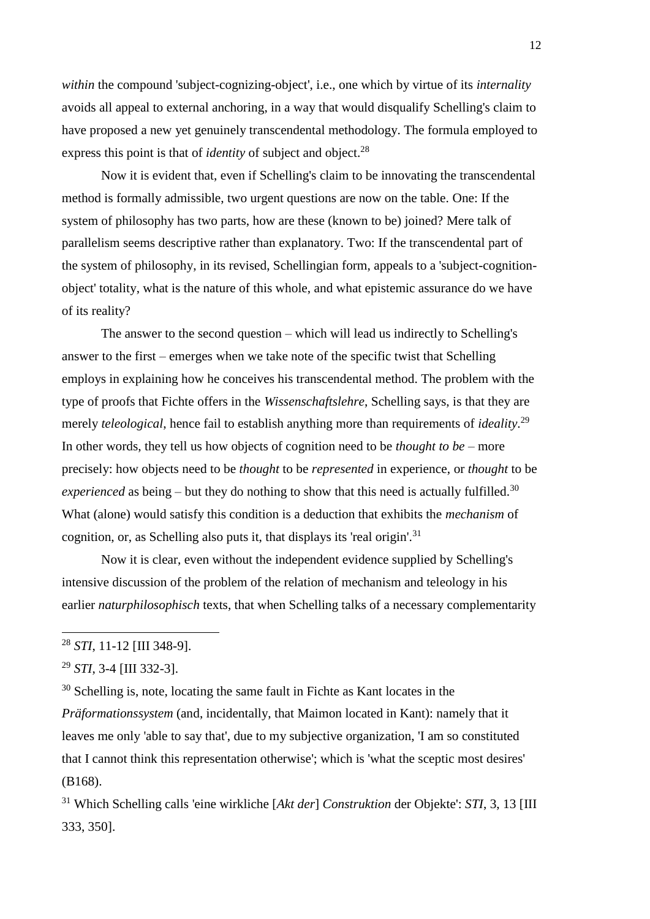*within* the compound 'subject-cognizing-object', i.e., one which by virtue of its *internality* avoids all appeal to external anchoring, in a way that would disqualify Schelling's claim to have proposed a new yet genuinely transcendental methodology. The formula employed to express this point is that of *identity* of subject and object. 28

Now it is evident that, even if Schelling's claim to be innovating the transcendental method is formally admissible, two urgent questions are now on the table. One: If the system of philosophy has two parts, how are these (known to be) joined? Mere talk of parallelism seems descriptive rather than explanatory. Two: If the transcendental part of the system of philosophy, in its revised, Schellingian form, appeals to a 'subject-cognitionobject' totality, what is the nature of this whole, and what epistemic assurance do we have of its reality?

The answer to the second question – which will lead us indirectly to Schelling's answer to the first – emerges when we take note of the specific twist that Schelling employs in explaining how he conceives his transcendental method. The problem with the type of proofs that Fichte offers in the *Wissenschaftslehre*, Schelling says, is that they are merely *teleological*, hence fail to establish anything more than requirements of *ideality*. 29 In other words, they tell us how objects of cognition need to be *thought to be* – more precisely: how objects need to be *thought* to be *represented* in experience, or *thought* to be *experienced* as being – but they do nothing to show that this need is actually fulfilled.<sup>30</sup> What (alone) would satisfy this condition is a deduction that exhibits the *mechanism* of cognition, or, as Schelling also puts it, that displays its 'real origin'.<sup>31</sup>

Now it is clear, even without the independent evidence supplied by Schelling's intensive discussion of the problem of the relation of mechanism and teleology in his earlier *naturphilosophisch* texts, that when Schelling talks of a necessary complementarity

1

<sup>30</sup> Schelling is, note, locating the same fault in Fichte as Kant locates in the *Präformationssystem* (and, incidentally, that Maimon located in Kant): namely that it leaves me only 'able to say that', due to my subjective organization, 'I am so constituted that I cannot think this representation otherwise'; which is 'what the sceptic most desires' (B168).

<sup>31</sup> Which Schelling calls 'eine wirkliche [*Akt der*] *Construktion* der Objekte': *STI*, 3, 13 [III 333, 350].

<sup>28</sup> *STI*, 11-12 [III 348-9].

<sup>29</sup> *STI*, 3-4 [III 332-3].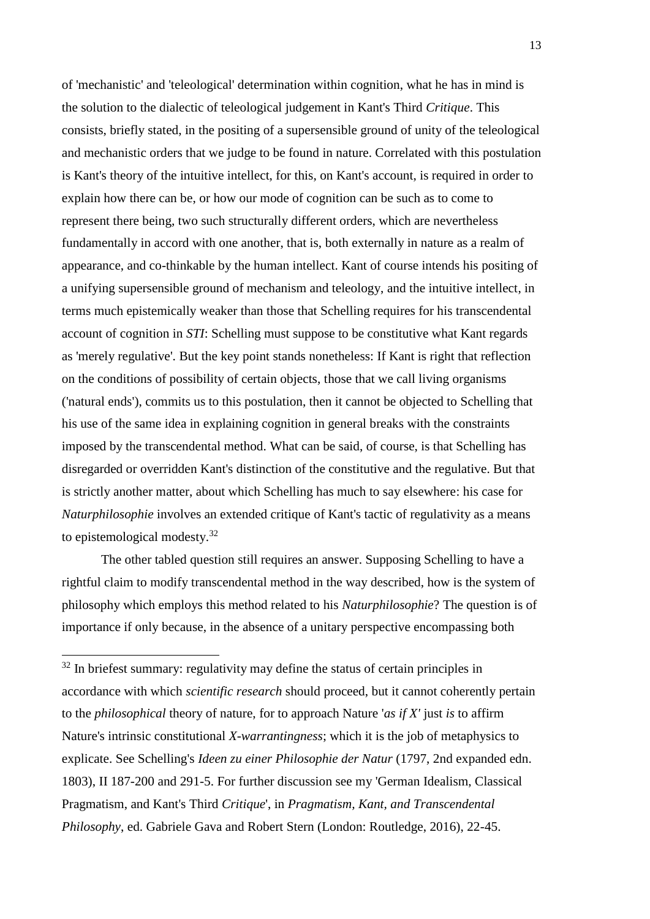of 'mechanistic' and 'teleological' determination within cognition, what he has in mind is the solution to the dialectic of teleological judgement in Kant's Third *Critique*. This consists, briefly stated, in the positing of a supersensible ground of unity of the teleological and mechanistic orders that we judge to be found in nature. Correlated with this postulation is Kant's theory of the intuitive intellect, for this, on Kant's account, is required in order to explain how there can be, or how our mode of cognition can be such as to come to represent there being, two such structurally different orders, which are nevertheless fundamentally in accord with one another, that is, both externally in nature as a realm of appearance, and co-thinkable by the human intellect. Kant of course intends his positing of a unifying supersensible ground of mechanism and teleology, and the intuitive intellect, in terms much epistemically weaker than those that Schelling requires for his transcendental account of cognition in *STI*: Schelling must suppose to be constitutive what Kant regards as 'merely regulative'. But the key point stands nonetheless: If Kant is right that reflection on the conditions of possibility of certain objects, those that we call living organisms ('natural ends'), commits us to this postulation, then it cannot be objected to Schelling that his use of the same idea in explaining cognition in general breaks with the constraints imposed by the transcendental method. What can be said, of course, is that Schelling has disregarded or overridden Kant's distinction of the constitutive and the regulative. But that is strictly another matter, about which Schelling has much to say elsewhere: his case for *Naturphilosophie* involves an extended critique of Kant's tactic of regulativity as a means to epistemological modesty.<sup>32</sup>

The other tabled question still requires an answer. Supposing Schelling to have a rightful claim to modify transcendental method in the way described, how is the system of philosophy which employs this method related to his *Naturphilosophie*? The question is of importance if only because, in the absence of a unitary perspective encompassing both

1

<sup>32</sup> In briefest summary: regulativity may define the status of certain principles in accordance with which *scientific research* should proceed, but it cannot coherently pertain to the *philosophical* theory of nature, for to approach Nature '*as if X'* just *is* to affirm Nature's intrinsic constitutional *X-warrantingness*; which it is the job of metaphysics to explicate. See Schelling's *Ideen zu einer Philosophie der Natur* (1797, 2nd expanded edn. 1803), II 187-200 and 291-5. For further discussion see my 'German Idealism, Classical Pragmatism, and Kant's Third *Critique*', in *Pragmatism, Kant, and Transcendental Philosophy*, ed. Gabriele Gava and Robert Stern (London: Routledge, 2016), 22-45.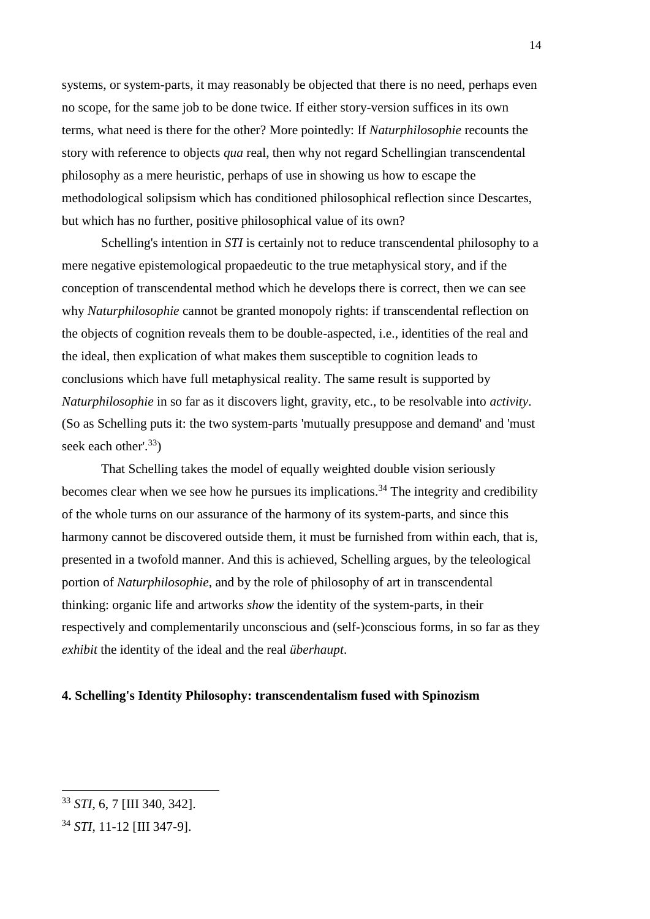systems, or system-parts, it may reasonably be objected that there is no need, perhaps even no scope, for the same job to be done twice. If either story-version suffices in its own terms, what need is there for the other? More pointedly: If *Naturphilosophie* recounts the story with reference to objects *qua* real, then why not regard Schellingian transcendental philosophy as a mere heuristic, perhaps of use in showing us how to escape the methodological solipsism which has conditioned philosophical reflection since Descartes, but which has no further, positive philosophical value of its own?

Schelling's intention in *STI* is certainly not to reduce transcendental philosophy to a mere negative epistemological propaedeutic to the true metaphysical story, and if the conception of transcendental method which he develops there is correct, then we can see why *Naturphilosophie* cannot be granted monopoly rights: if transcendental reflection on the objects of cognition reveals them to be double-aspected, i.e., identities of the real and the ideal, then explication of what makes them susceptible to cognition leads to conclusions which have full metaphysical reality. The same result is supported by *Naturphilosophie* in so far as it discovers light, gravity, etc., to be resolvable into *activity*. (So as Schelling puts it: the two system-parts 'mutually presuppose and demand' and 'must seek each other'.  $33$ )

That Schelling takes the model of equally weighted double vision seriously becomes clear when we see how he pursues its implications.<sup>34</sup> The integrity and credibility of the whole turns on our assurance of the harmony of its system-parts, and since this harmony cannot be discovered outside them, it must be furnished from within each, that is, presented in a twofold manner. And this is achieved, Schelling argues, by the teleological portion of *Naturphilosophie*, and by the role of philosophy of art in transcendental thinking: organic life and artworks *show* the identity of the system-parts, in their respectively and complementarily unconscious and (self-)conscious forms, in so far as they *exhibit* the identity of the ideal and the real *überhaupt*.

### **4. Schelling's Identity Philosophy: transcendentalism fused with Spinozism**

<sup>33</sup> *STI*, 6, 7 [III 340, 342].

<sup>34</sup> *STI*, 11-12 [III 347-9].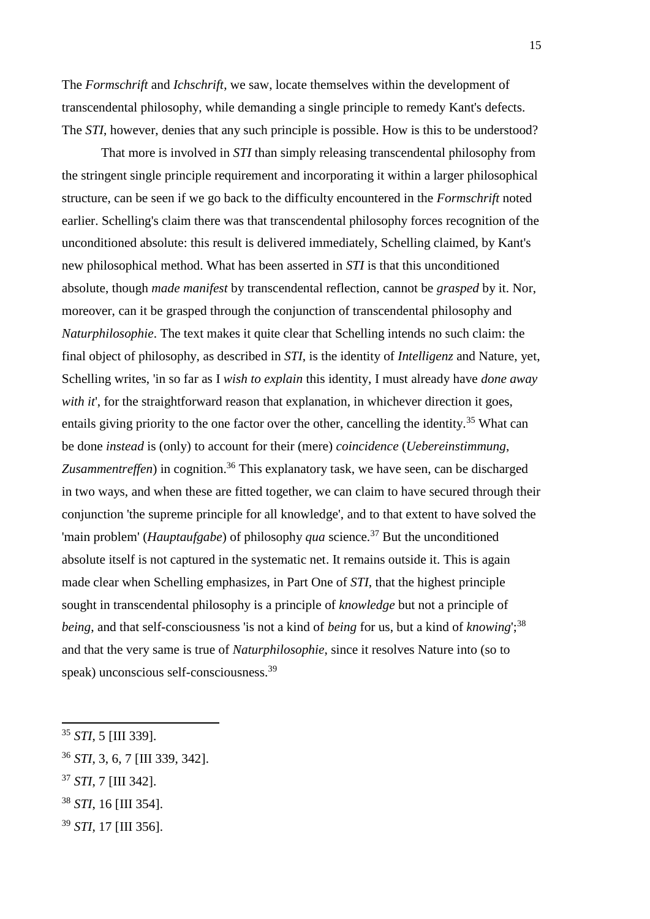The *Formschrift* and *Ichschrift*, we saw, locate themselves within the development of transcendental philosophy, while demanding a single principle to remedy Kant's defects. The *STI*, however, denies that any such principle is possible. How is this to be understood?

That more is involved in *STI* than simply releasing transcendental philosophy from the stringent single principle requirement and incorporating it within a larger philosophical structure, can be seen if we go back to the difficulty encountered in the *Formschrift* noted earlier. Schelling's claim there was that transcendental philosophy forces recognition of the unconditioned absolute: this result is delivered immediately, Schelling claimed, by Kant's new philosophical method. What has been asserted in *STI* is that this unconditioned absolute, though *made manifest* by transcendental reflection, cannot be *grasped* by it. Nor, moreover, can it be grasped through the conjunction of transcendental philosophy and *Naturphilosophie*. The text makes it quite clear that Schelling intends no such claim: the final object of philosophy, as described in *STI*, is the identity of *Intelligenz* and Nature, yet, Schelling writes, 'in so far as I *wish to explain* this identity, I must already have *done away with it*', for the straightforward reason that explanation, in whichever direction it goes, entails giving priority to the one factor over the other, cancelling the identity.<sup>35</sup> What can be done *instead* is (only) to account for their (mere) *coincidence* (*Uebereinstimmung*, Zusammentreffen) in cognition.<sup>36</sup> This explanatory task, we have seen, can be discharged in two ways, and when these are fitted together, we can claim to have secured through their conjunction 'the supreme principle for all knowledge', and to that extent to have solved the 'main problem' (*Hauptaufgabe*) of philosophy *qua* science.<sup>37</sup> But the unconditioned absolute itself is not captured in the systematic net. It remains outside it. This is again made clear when Schelling emphasizes, in Part One of *STI*, that the highest principle sought in transcendental philosophy is a principle of *knowledge* but not a principle of *being*, and that self-consciousness 'is not a kind of *being* for us, but a kind of *knowing*';<sup>38</sup> and that the very same is true of *Naturphilosophie*, since it resolves Nature into (so to speak) unconscious self-consciousness.<sup>39</sup>

<sup>35</sup> *STI*, 5 [III 339].

<sup>36</sup> *STI*, 3, 6, 7 [III 339, 342].

<sup>37</sup> *STI*, 7 [III 342].

<sup>38</sup> *STI*, 16 [III 354].

<sup>39</sup> *STI*, 17 [III 356].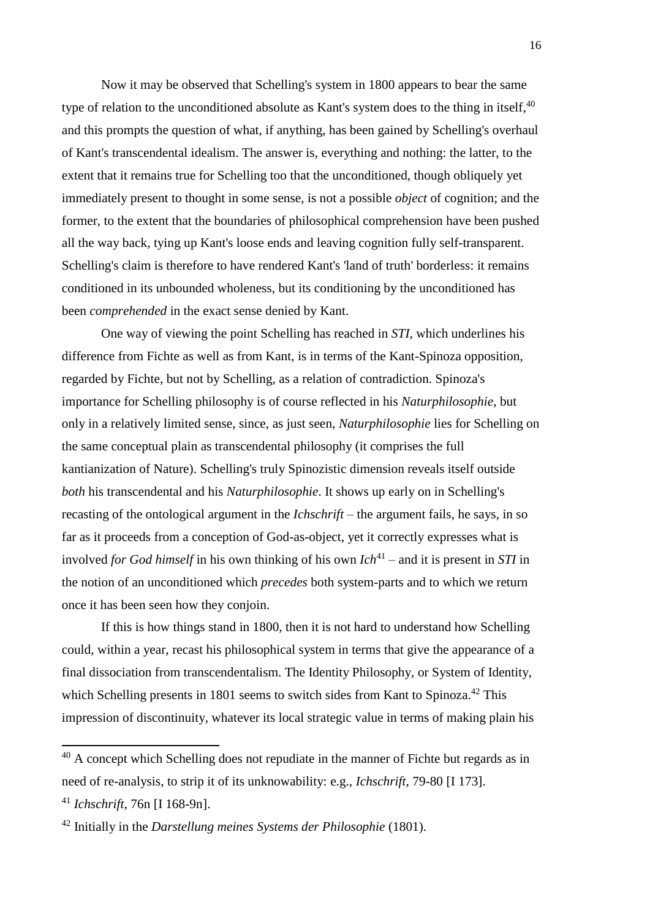Now it may be observed that Schelling's system in 1800 appears to bear the same type of relation to the unconditioned absolute as Kant's system does to the thing in itself,<sup>40</sup> and this prompts the question of what, if anything, has been gained by Schelling's overhaul of Kant's transcendental idealism. The answer is, everything and nothing: the latter, to the extent that it remains true for Schelling too that the unconditioned, though obliquely yet immediately present to thought in some sense, is not a possible *object* of cognition; and the former, to the extent that the boundaries of philosophical comprehension have been pushed all the way back, tying up Kant's loose ends and leaving cognition fully self-transparent. Schelling's claim is therefore to have rendered Kant's 'land of truth' borderless: it remains conditioned in its unbounded wholeness, but its conditioning by the unconditioned has been *comprehended* in the exact sense denied by Kant.

One way of viewing the point Schelling has reached in *STI*, which underlines his difference from Fichte as well as from Kant, is in terms of the Kant-Spinoza opposition, regarded by Fichte, but not by Schelling, as a relation of contradiction. Spinoza's importance for Schelling philosophy is of course reflected in his *Naturphilosophie*, but only in a relatively limited sense, since, as just seen, *Naturphilosophie* lies for Schelling on the same conceptual plain as transcendental philosophy (it comprises the full kantianization of Nature). Schelling's truly Spinozistic dimension reveals itself outside *both* his transcendental and his *Naturphilosophie*. It shows up early on in Schelling's recasting of the ontological argument in the *Ichschrift* – the argument fails, he says, in so far as it proceeds from a conception of God-as-object, yet it correctly expresses what is involved *for God himself* in his own thinking of his own *Ich*<sup>41</sup> – and it is present in *STI* in the notion of an unconditioned which *precedes* both system-parts and to which we return once it has been seen how they conjoin.

If this is how things stand in 1800, then it is not hard to understand how Schelling could, within a year, recast his philosophical system in terms that give the appearance of a final dissociation from transcendentalism. The Identity Philosophy, or System of Identity, which Schelling presents in 1801 seems to switch sides from Kant to Spinoza.<sup>42</sup> This impression of discontinuity, whatever its local strategic value in terms of making plain his

<sup>&</sup>lt;sup>40</sup> A concept which Schelling does not repudiate in the manner of Fichte but regards as in need of re-analysis, to strip it of its unknowability: e.g., *Ichschrift*, 79-80 [I 173].

<sup>41</sup> *Ichschrift*, 76n [I 168-9n].

<sup>42</sup> Initially in the *Darstellung meines Systems der Philosophie* (1801).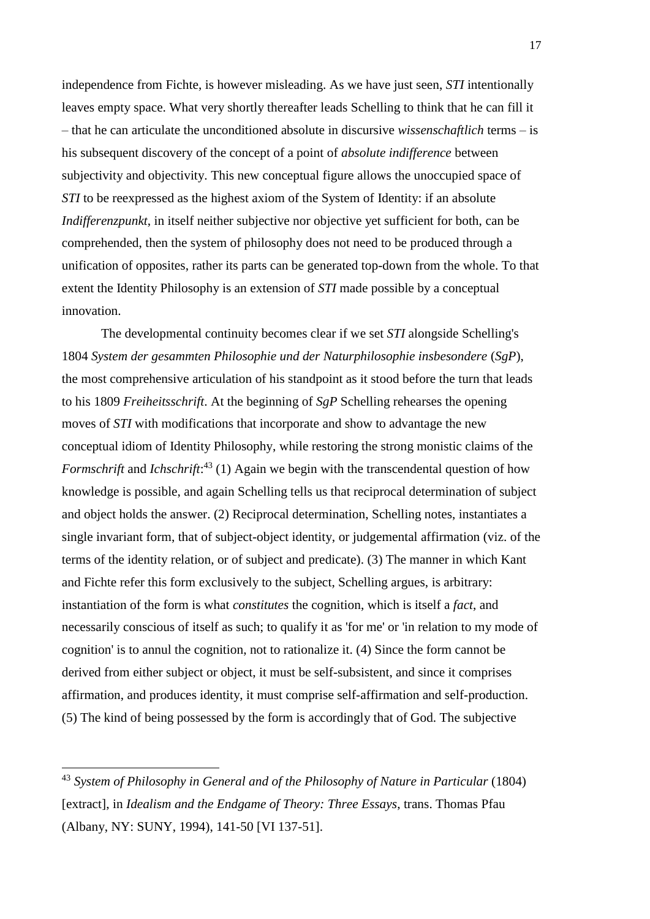independence from Fichte, is however misleading. As we have just seen, *STI* intentionally leaves empty space. What very shortly thereafter leads Schelling to think that he can fill it – that he can articulate the unconditioned absolute in discursive *wissenschaftlich* terms – is his subsequent discovery of the concept of a point of *absolute indifference* between subjectivity and objectivity. This new conceptual figure allows the unoccupied space of *STI* to be reexpressed as the highest axiom of the System of Identity: if an absolute *Indifferenzpunkt*, in itself neither subjective nor objective yet sufficient for both, can be comprehended, then the system of philosophy does not need to be produced through a unification of opposites, rather its parts can be generated top-down from the whole. To that extent the Identity Philosophy is an extension of *STI* made possible by a conceptual innovation.

The developmental continuity becomes clear if we set *STI* alongside Schelling's 1804 *System der gesammten Philosophie und der Naturphilosophie insbesondere* (*SgP*), the most comprehensive articulation of his standpoint as it stood before the turn that leads to his 1809 *Freiheitsschrift*. At the beginning of *SgP* Schelling rehearses the opening moves of *STI* with modifications that incorporate and show to advantage the new conceptual idiom of Identity Philosophy, while restoring the strong monistic claims of the *Formschrift* and *Ichschrift*: <sup>43</sup> (1) Again we begin with the transcendental question of how knowledge is possible, and again Schelling tells us that reciprocal determination of subject and object holds the answer. (2) Reciprocal determination, Schelling notes, instantiates a single invariant form, that of subject-object identity, or judgemental affirmation (viz. of the terms of the identity relation, or of subject and predicate). (3) The manner in which Kant and Fichte refer this form exclusively to the subject, Schelling argues, is arbitrary: instantiation of the form is what *constitutes* the cognition, which is itself a *fact*, and necessarily conscious of itself as such; to qualify it as 'for me' or 'in relation to my mode of cognition' is to annul the cognition, not to rationalize it. (4) Since the form cannot be derived from either subject or object, it must be self-subsistent, and since it comprises affirmation, and produces identity, it must comprise self-affirmation and self-production. (5) The kind of being possessed by the form is accordingly that of God. The subjective

<sup>43</sup> *System of Philosophy in General and of the Philosophy of Nature in Particular* (1804) [extract], in *Idealism and the Endgame of Theory: Three Essays*, trans. Thomas Pfau (Albany, NY: SUNY, 1994), 141-50 [VI 137-51].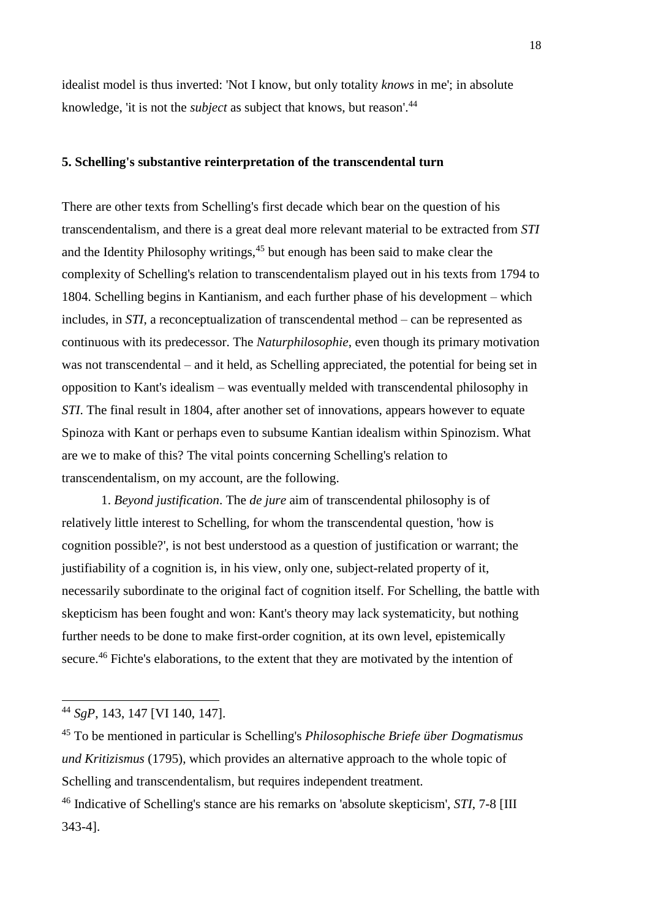idealist model is thus inverted: 'Not I know, but only totality *knows* in me'; in absolute knowledge, 'it is not the *subject* as subject that knows, but reason'.<sup>44</sup>

## **5. Schelling's substantive reinterpretation of the transcendental turn**

There are other texts from Schelling's first decade which bear on the question of his transcendentalism, and there is a great deal more relevant material to be extracted from *STI* and the Identity Philosophy writings,<sup>45</sup> but enough has been said to make clear the complexity of Schelling's relation to transcendentalism played out in his texts from 1794 to 1804. Schelling begins in Kantianism, and each further phase of his development – which includes, in *STI*, a reconceptualization of transcendental method – can be represented as continuous with its predecessor. The *Naturphilosophie*, even though its primary motivation was not transcendental – and it held, as Schelling appreciated, the potential for being set in opposition to Kant's idealism – was eventually melded with transcendental philosophy in *STI*. The final result in 1804, after another set of innovations, appears however to equate Spinoza with Kant or perhaps even to subsume Kantian idealism within Spinozism. What are we to make of this? The vital points concerning Schelling's relation to transcendentalism, on my account, are the following.

1. *Beyond justification*. The *de jure* aim of transcendental philosophy is of relatively little interest to Schelling, for whom the transcendental question, 'how is cognition possible?', is not best understood as a question of justification or warrant; the justifiability of a cognition is, in his view, only one, subject-related property of it, necessarily subordinate to the original fact of cognition itself. For Schelling, the battle with skepticism has been fought and won: Kant's theory may lack systematicity, but nothing further needs to be done to make first-order cognition, at its own level, epistemically secure.<sup>46</sup> Fichte's elaborations, to the extent that they are motivated by the intention of

<sup>44</sup> *SgP*, 143, 147 [VI 140, 147].

<sup>45</sup> To be mentioned in particular is Schelling's *Philosophische Briefe über Dogmatismus und Kritizismus* (1795), which provides an alternative approach to the whole topic of Schelling and transcendentalism, but requires independent treatment.

<sup>46</sup> Indicative of Schelling's stance are his remarks on 'absolute skepticism', *STI*, 7-8 [III 343-4].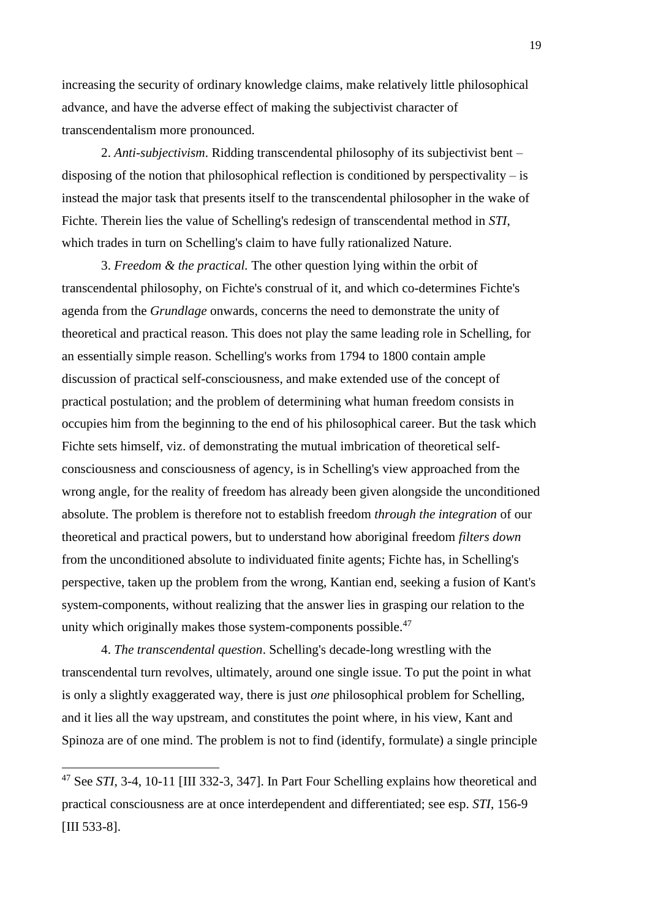increasing the security of ordinary knowledge claims, make relatively little philosophical advance, and have the adverse effect of making the subjectivist character of transcendentalism more pronounced.

2. *Anti-subjectivism*. Ridding transcendental philosophy of its subjectivist bent – disposing of the notion that philosophical reflection is conditioned by perspectivality – is instead the major task that presents itself to the transcendental philosopher in the wake of Fichte. Therein lies the value of Schelling's redesign of transcendental method in *STI*, which trades in turn on Schelling's claim to have fully rationalized Nature.

3. *Freedom & the practical.* The other question lying within the orbit of transcendental philosophy, on Fichte's construal of it, and which co-determines Fichte's agenda from the *Grundlage* onwards, concerns the need to demonstrate the unity of theoretical and practical reason. This does not play the same leading role in Schelling, for an essentially simple reason. Schelling's works from 1794 to 1800 contain ample discussion of practical self-consciousness, and make extended use of the concept of practical postulation; and the problem of determining what human freedom consists in occupies him from the beginning to the end of his philosophical career. But the task which Fichte sets himself, viz. of demonstrating the mutual imbrication of theoretical selfconsciousness and consciousness of agency, is in Schelling's view approached from the wrong angle, for the reality of freedom has already been given alongside the unconditioned absolute. The problem is therefore not to establish freedom *through the integration* of our theoretical and practical powers, but to understand how aboriginal freedom *filters down* from the unconditioned absolute to individuated finite agents; Fichte has, in Schelling's perspective, taken up the problem from the wrong, Kantian end, seeking a fusion of Kant's system-components, without realizing that the answer lies in grasping our relation to the unity which originally makes those system-components possible. $47$ 

4. *The transcendental question*. Schelling's decade-long wrestling with the transcendental turn revolves, ultimately, around one single issue. To put the point in what is only a slightly exaggerated way, there is just *one* philosophical problem for Schelling, and it lies all the way upstream, and constitutes the point where, in his view, Kant and Spinoza are of one mind. The problem is not to find (identify, formulate) a single principle

<sup>47</sup> See *STI*, 3-4, 10-11 [III 332-3, 347]. In Part Four Schelling explains how theoretical and practical consciousness are at once interdependent and differentiated; see esp. *STI*, 156-9 [III 533-8].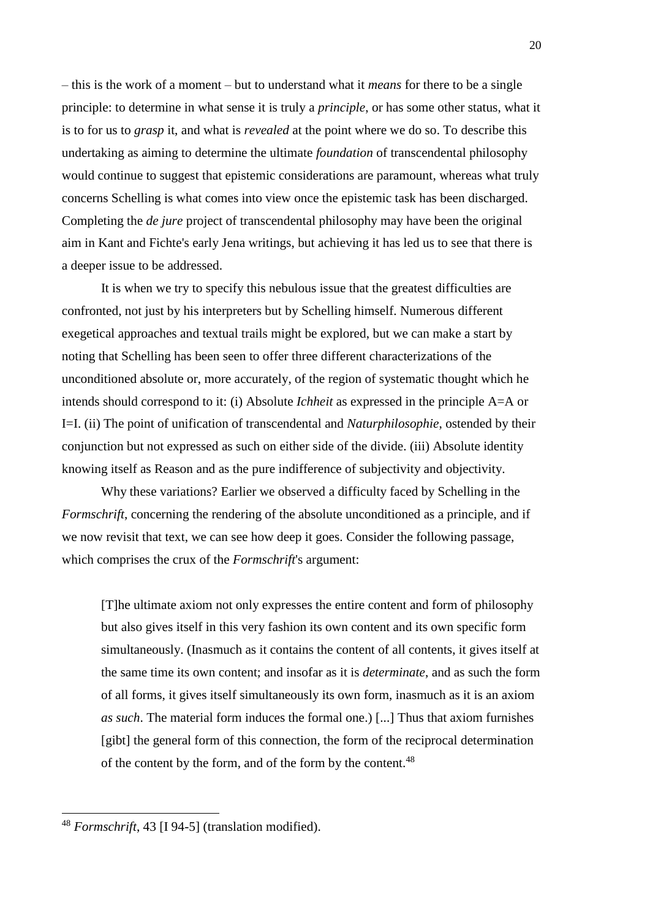– this is the work of a moment – but to understand what it *means* for there to be a single principle: to determine in what sense it is truly a *principle*, or has some other status, what it is to for us to *grasp* it, and what is *revealed* at the point where we do so. To describe this undertaking as aiming to determine the ultimate *foundation* of transcendental philosophy would continue to suggest that epistemic considerations are paramount, whereas what truly concerns Schelling is what comes into view once the epistemic task has been discharged. Completing the *de jure* project of transcendental philosophy may have been the original aim in Kant and Fichte's early Jena writings, but achieving it has led us to see that there is a deeper issue to be addressed.

It is when we try to specify this nebulous issue that the greatest difficulties are confronted, not just by his interpreters but by Schelling himself. Numerous different exegetical approaches and textual trails might be explored, but we can make a start by noting that Schelling has been seen to offer three different characterizations of the unconditioned absolute or, more accurately, of the region of systematic thought which he intends should correspond to it: (i) Absolute *Ichheit* as expressed in the principle A=A or I=I. (ii) The point of unification of transcendental and *Naturphilosophie*, ostended by their conjunction but not expressed as such on either side of the divide. (iii) Absolute identity knowing itself as Reason and as the pure indifference of subjectivity and objectivity.

Why these variations? Earlier we observed a difficulty faced by Schelling in the *Formschrift*, concerning the rendering of the absolute unconditioned as a principle, and if we now revisit that text, we can see how deep it goes. Consider the following passage, which comprises the crux of the *Formschrift*'s argument:

[T]he ultimate axiom not only expresses the entire content and form of philosophy but also gives itself in this very fashion its own content and its own specific form simultaneously. (Inasmuch as it contains the content of all contents, it gives itself at the same time its own content; and insofar as it is *determinate*, and as such the form of all forms, it gives itself simultaneously its own form, inasmuch as it is an axiom *as such*. The material form induces the formal one.) [...] Thus that axiom furnishes [gibt] the general form of this connection, the form of the reciprocal determination of the content by the form, and of the form by the content.<sup>48</sup>

<sup>48</sup> *Formschrift*, 43 [I 94-5] (translation modified).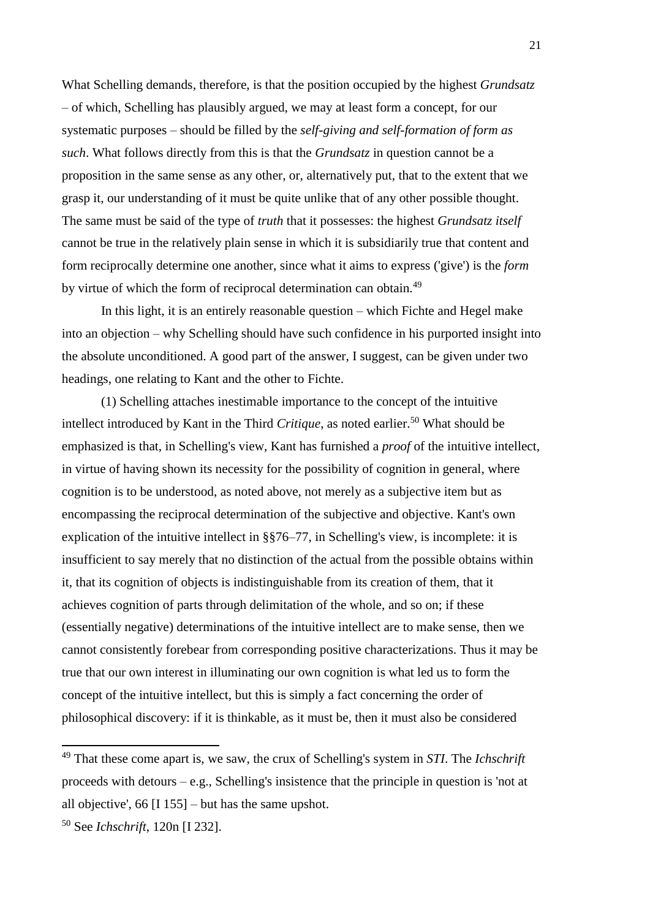What Schelling demands, therefore, is that the position occupied by the highest *Grundsatz* – of which, Schelling has plausibly argued, we may at least form a concept, for our systematic purposes – should be filled by the *self-giving and self-formation of form as such*. What follows directly from this is that the *Grundsatz* in question cannot be a proposition in the same sense as any other, or, alternatively put, that to the extent that we grasp it, our understanding of it must be quite unlike that of any other possible thought. The same must be said of the type of *truth* that it possesses: the highest *Grundsatz itself* cannot be true in the relatively plain sense in which it is subsidiarily true that content and form reciprocally determine one another, since what it aims to express ('give') is the *form* by virtue of which the form of reciprocal determination can obtain.<sup>49</sup>

In this light, it is an entirely reasonable question – which Fichte and Hegel make into an objection – why Schelling should have such confidence in his purported insight into the absolute unconditioned. A good part of the answer, I suggest, can be given under two headings, one relating to Kant and the other to Fichte.

(1) Schelling attaches inestimable importance to the concept of the intuitive intellect introduced by Kant in the Third *Critique*, as noted earlier. <sup>50</sup> What should be emphasized is that, in Schelling's view, Kant has furnished a *proof* of the intuitive intellect, in virtue of having shown its necessity for the possibility of cognition in general, where cognition is to be understood, as noted above, not merely as a subjective item but as encompassing the reciprocal determination of the subjective and objective. Kant's own explication of the intuitive intellect in §§76–77, in Schelling's view, is incomplete: it is insufficient to say merely that no distinction of the actual from the possible obtains within it, that its cognition of objects is indistinguishable from its creation of them, that it achieves cognition of parts through delimitation of the whole, and so on; if these (essentially negative) determinations of the intuitive intellect are to make sense, then we cannot consistently forebear from corresponding positive characterizations. Thus it may be true that our own interest in illuminating our own cognition is what led us to form the concept of the intuitive intellect, but this is simply a fact concerning the order of philosophical discovery: if it is thinkable, as it must be, then it must also be considered

<sup>49</sup> That these come apart is, we saw, the crux of Schelling's system in *STI*. The *Ichschrift* proceeds with detours – e.g., Schelling's insistence that the principle in question is 'not at all objective',  $66$  [I 155] – but has the same upshot.

<sup>50</sup> See *Ichschrift*, 120n [I 232].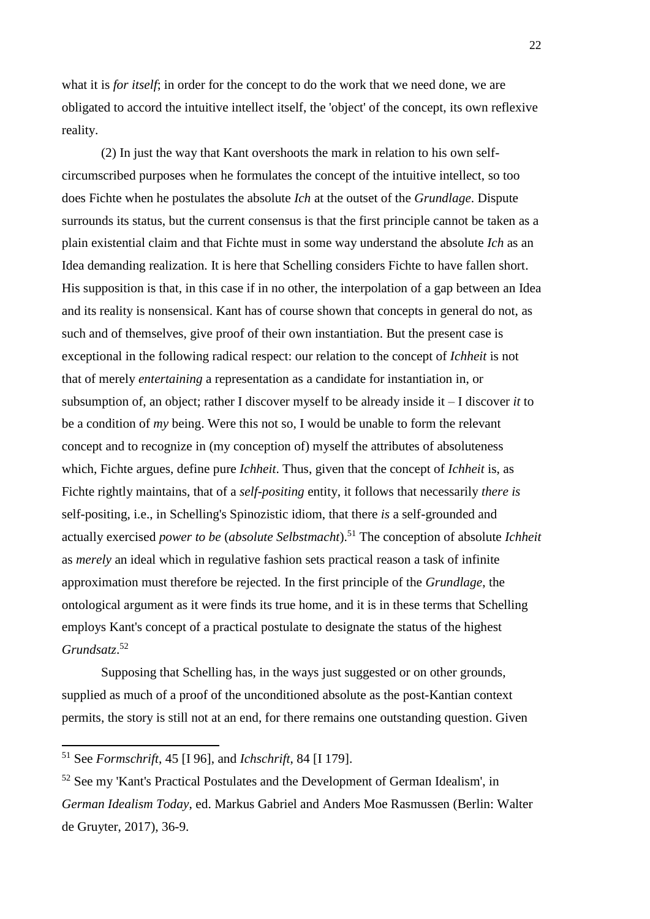what it is *for itself*; in order for the concept to do the work that we need done, we are obligated to accord the intuitive intellect itself, the 'object' of the concept, its own reflexive reality.

(2) In just the way that Kant overshoots the mark in relation to his own selfcircumscribed purposes when he formulates the concept of the intuitive intellect, so too does Fichte when he postulates the absolute *Ich* at the outset of the *Grundlage*. Dispute surrounds its status, but the current consensus is that the first principle cannot be taken as a plain existential claim and that Fichte must in some way understand the absolute *Ich* as an Idea demanding realization. It is here that Schelling considers Fichte to have fallen short. His supposition is that, in this case if in no other, the interpolation of a gap between an Idea and its reality is nonsensical. Kant has of course shown that concepts in general do not, as such and of themselves, give proof of their own instantiation. But the present case is exceptional in the following radical respect: our relation to the concept of *Ichheit* is not that of merely *entertaining* a representation as a candidate for instantiation in, or subsumption of, an object; rather I discover myself to be already inside it – I discover *it* to be a condition of *my* being. Were this not so, I would be unable to form the relevant concept and to recognize in (my conception of) myself the attributes of absoluteness which, Fichte argues, define pure *Ichheit*. Thus, given that the concept of *Ichheit* is, as Fichte rightly maintains, that of a *self-positing* entity, it follows that necessarily *there is* self-positing, i.e., in Schelling's Spinozistic idiom, that there *is* a self-grounded and actually exercised *power to be* (*absolute Selbstmacht*). <sup>51</sup> The conception of absolute *Ichheit*  as *merely* an ideal which in regulative fashion sets practical reason a task of infinite approximation must therefore be rejected. In the first principle of the *Grundlage*, the ontological argument as it were finds its true home, and it is in these terms that Schelling employs Kant's concept of a practical postulate to designate the status of the highest *Grundsatz*. 52

Supposing that Schelling has, in the ways just suggested or on other grounds, supplied as much of a proof of the unconditioned absolute as the post-Kantian context permits, the story is still not at an end, for there remains one outstanding question. Given

<sup>51</sup> See *Formschrift*, 45 [I 96], and *Ichschrift*, 84 [I 179].

<sup>52</sup> See my 'Kant's Practical Postulates and the Development of German Idealism', in *German Idealism Today*, ed. Markus Gabriel and Anders Moe Rasmussen (Berlin: Walter de Gruyter, 2017), 36-9.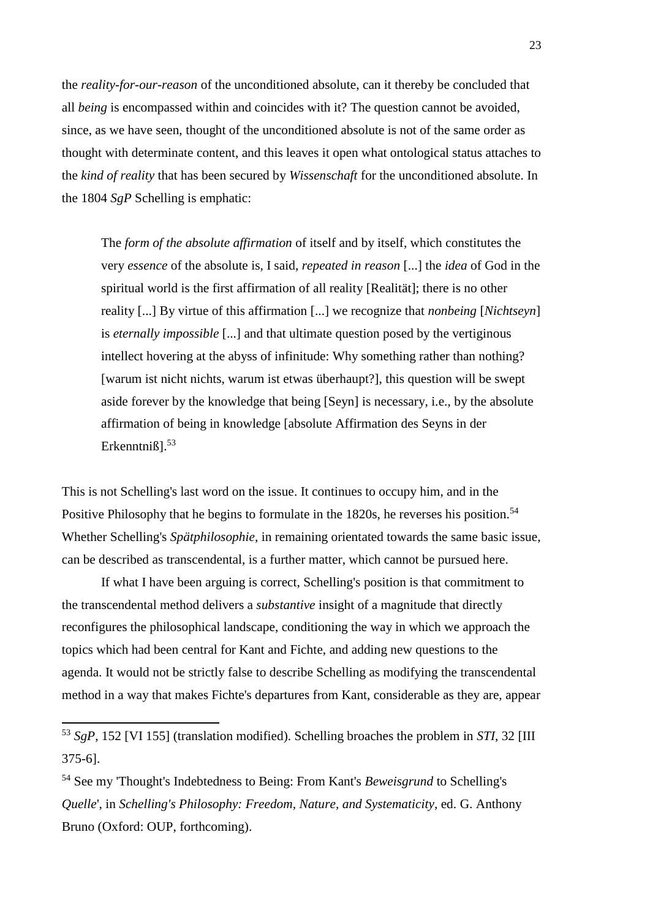the *reality-for-our-reason* of the unconditioned absolute, can it thereby be concluded that all *being* is encompassed within and coincides with it? The question cannot be avoided, since, as we have seen, thought of the unconditioned absolute is not of the same order as thought with determinate content, and this leaves it open what ontological status attaches to the *kind of reality* that has been secured by *Wissenschaft* for the unconditioned absolute. In the 1804 *SgP* Schelling is emphatic:

The *form of the absolute affirmation* of itself and by itself, which constitutes the very *essence* of the absolute is, I said, *repeated in reason* [...] the *idea* of God in the spiritual world is the first affirmation of all reality [Realität]; there is no other reality [...] By virtue of this affirmation [...] we recognize that *nonbeing* [*Nichtseyn*] is *eternally impossible* [...] and that ultimate question posed by the vertiginous intellect hovering at the abyss of infinitude: Why something rather than nothing? [warum ist nicht nichts, warum ist etwas überhaupt?], this question will be swept aside forever by the knowledge that being [Seyn] is necessary, i.e., by the absolute affirmation of being in knowledge [absolute Affirmation des Seyns in der Erkenntniß].<sup>53</sup>

This is not Schelling's last word on the issue. It continues to occupy him, and in the Positive Philosophy that he begins to formulate in the 1820s, he reverses his position.<sup>54</sup> Whether Schelling's *Spätphilosophie*, in remaining orientated towards the same basic issue, can be described as transcendental, is a further matter, which cannot be pursued here.

If what I have been arguing is correct, Schelling's position is that commitment to the transcendental method delivers a *substantive* insight of a magnitude that directly reconfigures the philosophical landscape, conditioning the way in which we approach the topics which had been central for Kant and Fichte, and adding new questions to the agenda. It would not be strictly false to describe Schelling as modifying the transcendental method in a way that makes Fichte's departures from Kant, considerable as they are, appear

<sup>53</sup> *SgP*, 152 [VI 155] (translation modified). Schelling broaches the problem in *STI*, 32 [III 375-6].

<sup>54</sup> See my 'Thought's Indebtedness to Being: From Kant's *Beweisgrund* to Schelling's *Quelle*', in *Schelling's Philosophy: Freedom, Nature, and Systematicity*, ed. G. Anthony Bruno (Oxford: OUP, forthcoming).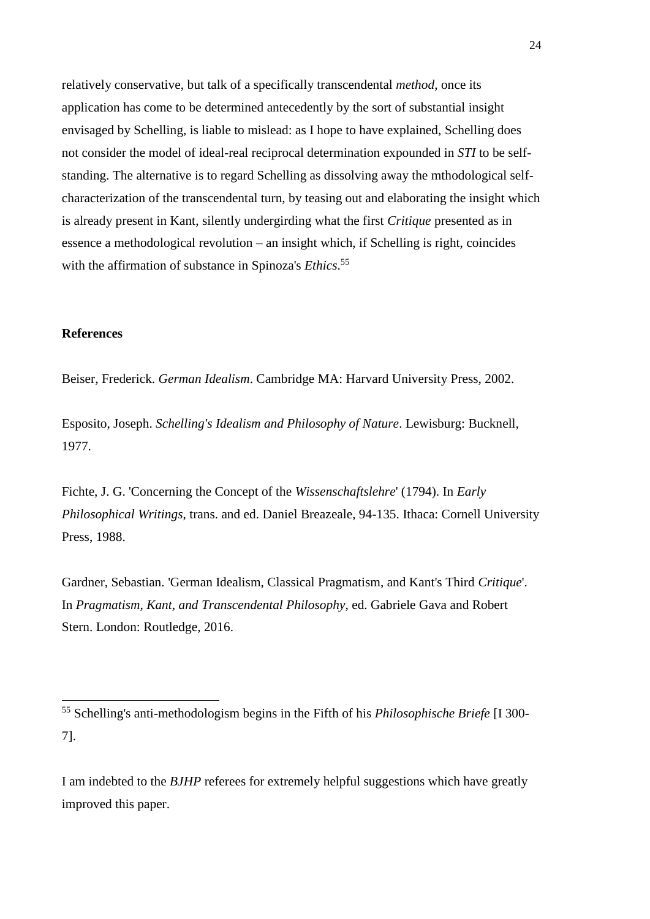relatively conservative, but talk of a specifically transcendental *method*, once its application has come to be determined antecedently by the sort of substantial insight envisaged by Schelling, is liable to mislead: as I hope to have explained, Schelling does not consider the model of ideal-real reciprocal determination expounded in *STI* to be selfstanding. The alternative is to regard Schelling as dissolving away the mthodological selfcharacterization of the transcendental turn, by teasing out and elaborating the insight which is already present in Kant, silently undergirding what the first *Critique* presented as in essence a methodological revolution – an insight which, if Schelling is right, coincides with the affirmation of substance in Spinoza's *Ethics*. 55

### **References**

-

Beiser, Frederick. *German Idealism*. Cambridge MA: Harvard University Press, 2002.

Esposito, Joseph. *Schelling's Idealism and Philosophy of Nature*. Lewisburg: Bucknell, 1977.

Fichte, J. G. 'Concerning the Concept of the *Wissenschaftslehre*' (1794). In *Early Philosophical Writings*, trans. and ed. Daniel Breazeale, 94-135. Ithaca: Cornell University Press, 1988.

Gardner, Sebastian. 'German Idealism, Classical Pragmatism, and Kant's Third *Critique*'. In *Pragmatism, Kant, and Transcendental Philosophy*, ed. Gabriele Gava and Robert Stern. London: Routledge, 2016.

<sup>55</sup> Schelling's anti-methodologism begins in the Fifth of his *Philosophische Briefe* [I 300- 7].

I am indebted to the *BJHP* referees for extremely helpful suggestions which have greatly improved this paper.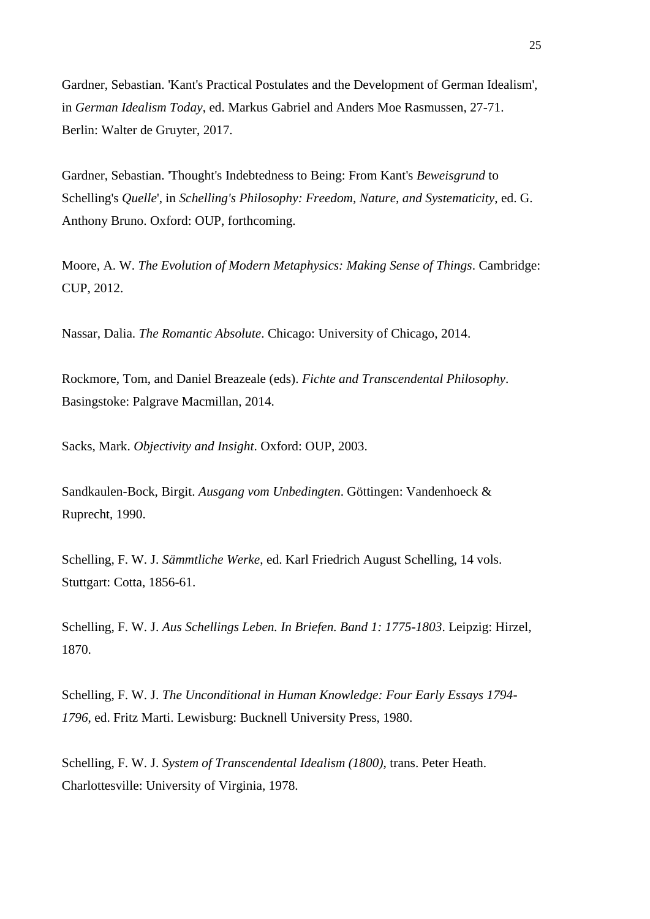Gardner, Sebastian. 'Kant's Practical Postulates and the Development of German Idealism', in *German Idealism Today*, ed. Markus Gabriel and Anders Moe Rasmussen, 27-71. Berlin: Walter de Gruyter, 2017.

Gardner, Sebastian. 'Thought's Indebtedness to Being: From Kant's *Beweisgrund* to Schelling's *Quelle*', in *Schelling's Philosophy: Freedom, Nature, and Systematicity*, ed. G. Anthony Bruno. Oxford: OUP, forthcoming.

Moore, A. W. *The Evolution of Modern Metaphysics: Making Sense of Things*. Cambridge: CUP, 2012.

Nassar, Dalia. *The Romantic Absolute*. Chicago: University of Chicago, 2014.

Rockmore, Tom, and Daniel Breazeale (eds). *Fichte and Transcendental Philosophy*. Basingstoke: Palgrave Macmillan, 2014.

Sacks, Mark. *Objectivity and Insight*. Oxford: OUP, 2003.

Sandkaulen-Bock, Birgit. *Ausgang vom Unbedingten*. Göttingen: Vandenhoeck & Ruprecht, 1990.

Schelling, F. W. J. *Sämmtliche Werke*, ed. Karl Friedrich August Schelling, 14 vols. Stuttgart: Cotta, 1856-61.

Schelling, F. W. J. *Aus Schellings Leben. In Briefen. Band 1: 1775-1803*. Leipzig: Hirzel, 1870.

Schelling, F. W. J. *The Unconditional in Human Knowledge: Four Early Essays 1794- 1796*, ed. Fritz Marti. Lewisburg: Bucknell University Press, 1980.

Schelling, F. W. J. *System of Transcendental Idealism (1800)*, trans. Peter Heath. Charlottesville: University of Virginia, 1978.